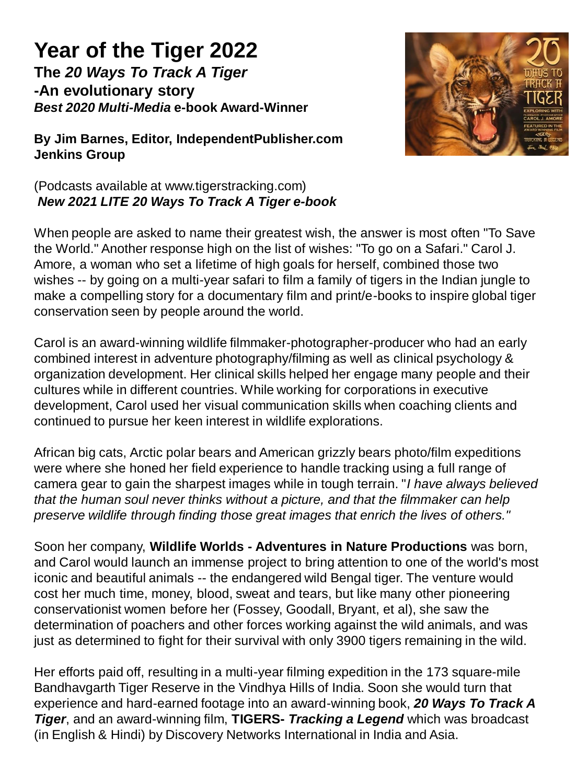## **Year of the Tiger 2022 The** *20 Ways To Track A Tiger*  **-An evolutionary story**  *Best 2020 Multi-Media* **e-book Award-Winner**



**By Jim Barnes, Editor, IndependentPublisher.com Jenkins Group**

## (Podcasts available at www.tigerstracking.com) *New 2021 LITE 20 Ways To Track A Tiger e-book*

When people are asked to name their greatest wish, the answer is most often "To Save the World." Another response high on the list of wishes: "To go on a Safari." Carol J. Amore, a woman who set a lifetime of high goals for herself, combined those two wishes -- by going on a multi-year safari to film a family of tigers in the Indian jungle to make a compelling story for a documentary film and print/e-books to inspire global tiger conservation seen by people around the world.

Carol is an award-winning wildlife filmmaker-photographer-producer who had an early combined interest in adventure photography/filming as well as clinical psychology & organization development. Her clinical skills helped her engage many people and their cultures while in different countries. While working for corporations in executive development, Carol used her visual communication skills when coaching clients and continued to pursue her keen interest in wildlife explorations.

African big cats, Arctic polar bears and American grizzly bears photo/film expeditions were where she honed her field experience to handle tracking using a full range of camera gear to gain the sharpest images while in tough terrain. "*I have always believed that the human soul never thinks without a picture, and that the filmmaker can help preserve wildlife through finding those great images that enrich the lives of others."* 

Soon her company, **Wildlife Worlds - Adventures in Nature Productions** was born, and Carol would launch an immense project to bring attention to one of the world's most iconic and beautiful animals -- the endangered wild Bengal tiger. The venture would cost her much time, money, blood, sweat and tears, but like many other pioneering conservationist women before her (Fossey, Goodall, Bryant, et al), she saw the determination of poachers and other forces working against the wild animals, and was just as determined to fight for their survival with only 3900 tigers remaining in the wild.

Her efforts paid off, resulting in a multi-year filming expedition in the 173 square-mile Bandhavgarth Tiger Reserve in the Vindhya Hills of India. Soon she would turn that experience and hard-earned footage into an award-winning book, *20 Ways To Track A Tiger*, and an award-winning film, **TIGERS-** *Tracking a Legend* which was broadcast (in English & Hindi) by Discovery Networks International in India and Asia.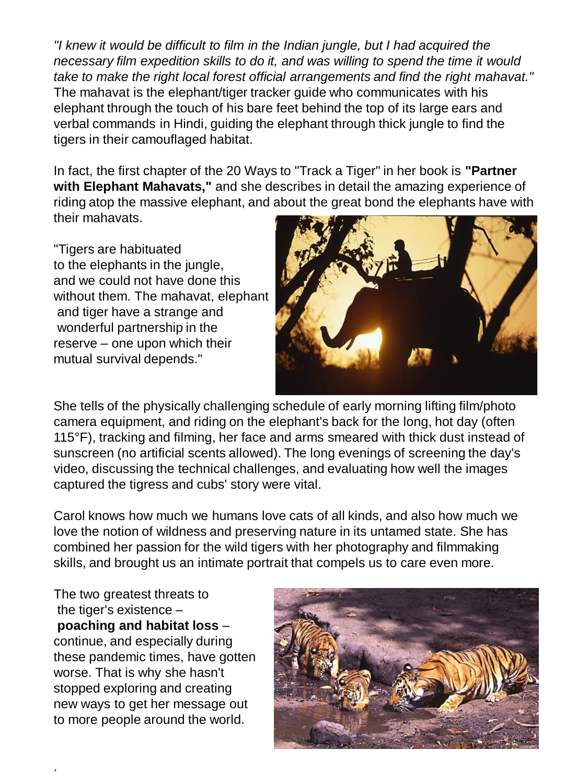*"I knew it would be difficult to film in the Indian jungle, but I had acquired the necessary film expedition skills to do it, and was willing to spend the time it would take to make the right local forest official arrangements and find the right mahavat."*  The mahavat is the elephant/tiger tracker guide who communicates with his elephant through the touch of his bare feet behind the top of its large ears and verbal commands in Hindi, guiding the elephant through thick jungle to find the tigers in their camouflaged habitat.

In fact, the first chapter of the 20 Ways to "Track a Tiger" in her book is **"Partner with Elephant Mahavats,"** and she describes in detail the amazing experience of riding atop the massive elephant, and about the great bond the elephants have with their mahavats.

"Tigers are habituated to the elephants in the jungle, and we could not have done this without them. The mahavat, elephant and tiger have a strange and wonderful partnership in the reserve – one upon which their mutual survival depends."



She tells of the physically challenging schedule of early morning lifting film/photo camera equipment, and riding on the elephant's back for the long, hot day (often 115°F), tracking and filming, her face and arms smeared with thick dust instead of sunscreen (no artificial scents allowed). The long evenings of screening the day's video, discussing the technical challenges, and evaluating how well the images captured the tigress and cubs' story were vital.

Carol knows how much we humans love cats of all kinds, and also how much we love the notion of wildness and preserving nature in its untamed state. She has combined her passion for the wild tigers with her photography and filmmaking skills, and brought us an intimate portrait that compels us to care even more.

The two greatest threats to the tiger's existence – **poaching and habitat loss** – continue, and especially during these pandemic times, have gotten worse. That is why she hasn't stopped exploring and creating new ways to get her message out to more people around the world.

.

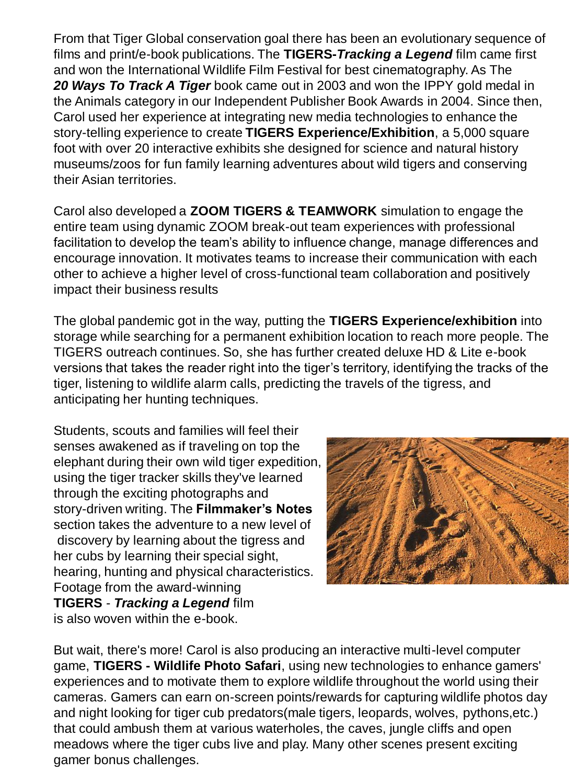From that Tiger Global conservation goal there has been an evolutionary sequence of films and print/e-book publications. The **TIGERS-***Tracking a Legend* film came first and won the International Wildlife Film Festival for best cinematography. As The *20 Ways To Track A Tiger* book came out in 2003 and won the IPPY gold medal in the Animals category in our Independent Publisher Book Awards in 2004. Since then, Carol used her experience at integrating new media technologies to enhance the story-telling experience to create **TIGERS Experience/Exhibition**, a 5,000 square foot with over 20 interactive exhibits she designed for science and natural history museums/zoos for fun family learning adventures about wild tigers and conserving their Asian territories.

Carol also developed a **ZOOM TIGERS & TEAMWORK** simulation to engage the entire team using dynamic ZOOM break-out team experiences with professional facilitation to develop the team's ability to influence change, manage differences and encourage innovation. It motivates teams to increase their communication with each other to achieve a higher level of cross-functional team collaboration and positively impact their business results

The global pandemic got in the way, putting the **TIGERS Experience/exhibition** into storage while searching for a permanent exhibition location to reach more people. The TIGERS outreach continues. So, she has further created deluxe HD & Lite e-book versions that takes the reader right into the tiger's territory, identifying the tracks of the tiger, listening to wildlife alarm calls, predicting the travels of the tigress, and anticipating her hunting techniques.

Students, scouts and families will feel their senses awakened as if traveling on top the elephant during their own wild tiger expedition, using the tiger tracker skills they've learned through the exciting photographs and story-driven writing. The **Filmmaker's Notes** section takes the adventure to a new level of discovery by learning about the tigress and her cubs by learning their special sight, hearing, hunting and physical characteristics. Footage from the award-winning **TIGERS** - *Tracking a Legend* film is also woven within the e-book.



But wait, there's more! Carol is also producing an interactive multi-level computer game, **TIGERS - Wildlife Photo Safari**, using new technologies to enhance gamers' experiences and to motivate them to explore wildlife throughout the world using their cameras. Gamers can earn on-screen points/rewards for capturing wildlife photos day and night looking for tiger cub predators(male tigers, leopards, wolves, pythons,etc.) that could ambush them at various waterholes, the caves, jungle cliffs and open meadows where the tiger cubs live and play. Many other scenes present exciting gamer bonus challenges.